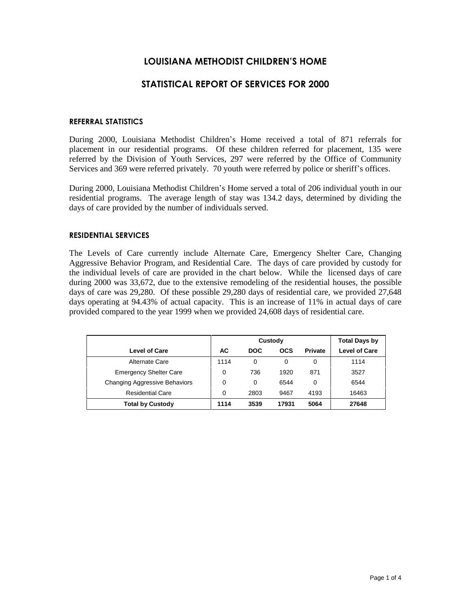# **LOUISIANA METHODIST CHILDRENíS HOME**

# **STATISTICAL REPORT OF SERVICES FOR 2000**

#### **REFERRAL STATISTICS**

During 2000, Louisiana Methodist Children's Home received a total of 871 referrals for placement in our residential programs. Of these children referred for placement, 135 were referred by the Division of Youth Services, 297 were referred by the Office of Community Services and 369 were referred privately. 70 youth were referred by police or sheriff's offices.

During 2000, Louisiana Methodist Children's Home served a total of 206 individual youth in our residential programs. The average length of stay was 134.2 days, determined by dividing the days of care provided by the number of individuals served.

#### **RESIDENTIAL SERVICES**

The Levels of Care currently include Alternate Care, Emergency Shelter Care, Changing Aggressive Behavior Program, and Residential Care. The days of care provided by custody for the individual levels of care are provided in the chart below. While the licensed days of care during 2000 was 33,672, due to the extensive remodeling of the residential houses, the possible days of care was 29,280. Of these possible 29,280 days of residential care, we provided 27,648 days operating at 94.43% of actual capacity. This is an increase of 11% in actual days of care provided compared to the year 1999 when we provided 24,608 days of residential care.

|                               |      | Custody    | <b>Total Days by</b> |                |                      |
|-------------------------------|------|------------|----------------------|----------------|----------------------|
| Level of Care                 | AC   | <b>DOC</b> | <b>OCS</b>           | <b>Private</b> | <b>Level of Care</b> |
| Alternate Care                | 1114 | 0          |                      | 0              | 1114                 |
| <b>Emergency Shelter Care</b> | 0    | 736        | 1920                 | 871            | 3527                 |
| Changing Aggressive Behaviors | 0    | 0          | 6544                 | 0              | 6544                 |
| <b>Residential Care</b>       | 0    | 2803       | 9467                 | 4193           | 16463                |
| <b>Total by Custody</b>       | 1114 | 3539       | 17931                | 5064           | 27648                |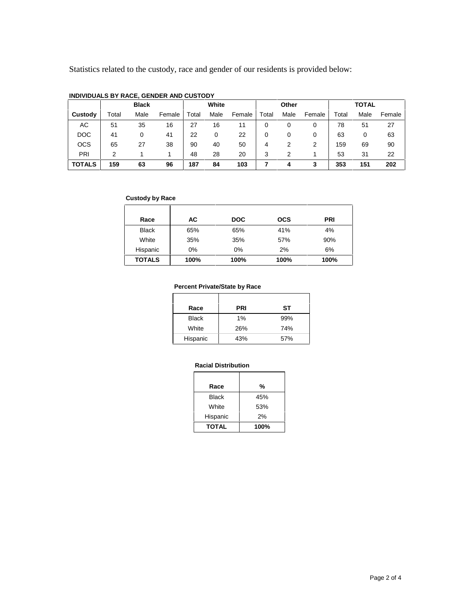Statistics related to the custody, race and gender of our residents is provided below:

|               | <b>Black</b> |      |        | White |      | Other  |       |      | <b>TOTAL</b> |       |      |        |
|---------------|--------------|------|--------|-------|------|--------|-------|------|--------------|-------|------|--------|
| Custody       | Total        | Male | Female | Total | Male | Female | Total | Male | Female       | Total | Male | Female |
| АC            | 51           | 35   | 16     | 27    | 16   | 11     | 0     | 0    | 0            | 78    | 51   | 27     |
| <b>DOC</b>    | 41           | 0    | 41     | 22    | 0    | 22     | 0     | 0    | 0            | 63    | 0    | 63     |
| <b>OCS</b>    | 65           | 27   | 38     | 90    | 40   | 50     | 4     |      | 2            | 159   | 69   | 90     |
| PRI           |              |      |        | 48    | 28   | 20     | 3     | 2    |              | 53    | 31   | 22     |
| <b>TOTALS</b> | 159          | 63   | 96     | 187   | 84   | 103    |       | 4    | 3            | 353   | 151  | 202    |

### **INDIVIDUALS BY RACE, GENDER AND CUSTODY**

### **Custody by Race**

| Race          | АC    | <b>DOC</b> | <b>OCS</b> | <b>PRI</b> |
|---------------|-------|------------|------------|------------|
| <b>Black</b>  | 65%   | 65%        | 41%        | 4%         |
| White         | 35%   | 35%        | 57%        | 90%        |
| Hispanic      | $0\%$ | 0%         | 2%         | 6%         |
| <b>TOTALS</b> | 100%  | 100%       | 100%       | 100%       |

# **Percent Private/State by Race**

| Race         | <b>PRI</b> | SТ  |
|--------------|------------|-----|
| <b>Black</b> | $1\%$      | 99% |
| White        | 26%        | 74% |
| Hispanic     | 43%        | 57% |

### **Racial Distribution**

| Race         | %    |
|--------------|------|
| <b>Black</b> | 45%  |
| White        | 53%  |
| Hispanic     | 2%   |
| <b>TOTAL</b> | 100% |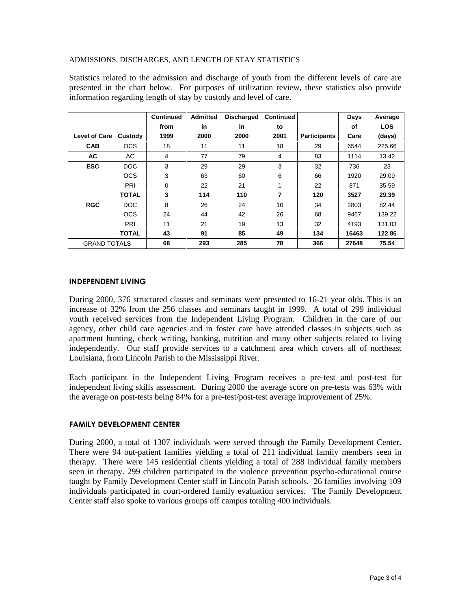## ADMISSIONS, DISCHARGES, AND LENGTH OF STAY STATISTICS

Statistics related to the admission and discharge of youth from the different levels of care are presented in the chart below. For purposes of utilization review, these statistics also provide information regarding length of stay by custody and level of care.

|                       |              | <b>Continued</b> | <b>Admitted</b> | <b>Discharged</b> | <b>Continued</b> |                     | Days  | Average    |
|-----------------------|--------------|------------------|-----------------|-------------------|------------------|---------------------|-------|------------|
|                       |              | from             | in              | in                | to               |                     | οf    | <b>LOS</b> |
| Level of Care Custody |              | 1999             | 2000            | 2000              | 2001             | <b>Participants</b> | Care  | (days)     |
| <b>CAB</b>            | <b>OCS</b>   | 18               | 11              | 11                | 18               | 29                  | 6544  | 225.66     |
| <b>AC</b>             | AC           | 4                | 77              | 79                | 4                | 83                  | 1114  | 13.42      |
| <b>ESC</b>            | DOC          | 3                | 29              | 29                | 3                | 32                  | 736   | 23         |
|                       | <b>OCS</b>   | 3                | 63              | 60                | 6                | 66                  | 1920  | 29.09      |
|                       | PRI          | 0                | 22              | 21                | 1                | 22                  | 871   | 35.59      |
|                       | <b>TOTAL</b> | 3                | 114             | 110               | 7                | 120                 | 3527  | 29.39      |
| <b>RGC</b>            | DOC          | 8                | 26              | 24                | 10               | 34                  | 2803  | 82.44      |
|                       | <b>OCS</b>   | 24               | 44              | 42                | 26               | 68                  | 9467  | 139.22     |
|                       | PRI          | 11               | 21              | 19                | 13               | 32                  | 4193  | 131.03     |
|                       | <b>TOTAL</b> | 43               | 91              | 85                | 49               | 134                 | 16463 | 122.86     |
| <b>GRAND TOTALS</b>   |              | 68               | 293             | 285               | 78               | 366                 | 27648 | 75.54      |

### **INDEPENDENT LIVING**

During 2000, 376 structured classes and seminars were presented to 16-21 year olds. This is an increase of 32% from the 256 classes and seminars taught in 1999. A total of 299 individual youth received services from the Independent Living Program. Children in the care of our agency, other child care agencies and in foster care have attended classes in subjects such as apartment hunting, check writing, banking, nutrition and many other subjects related to living independently. Our staff provide services to a catchment area which covers all of northeast Louisiana, from Lincoln Parish to the Mississippi River.

Each participant in the Independent Living Program receives a pre-test and post-test for independent living skills assessment. During 2000 the average score on pre-tests was 63% with the average on post-tests being 84% for a pre-test/post-test average improvement of 25%.

# **FAMILY DEVELOPMENT CENTER**

During 2000, a total of 1307 individuals were served through the Family Development Center. There were 94 out-patient families yielding a total of 211 individual family members seen in therapy. There were 145 residential clients yielding a total of 288 individual family members seen in therapy. 299 children participated in the violence prevention psycho-educational course taught by Family Development Center staff in Lincoln Parish schools. 26 families involving 109 individuals participated in court-ordered family evaluation services. The Family Development Center staff also spoke to various groups off campus totaling 400 individuals.